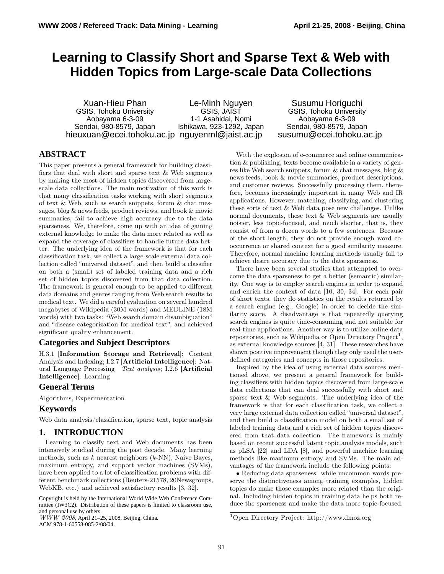# **Learning to Classify Short and Sparse Text & Web with Hidden Topics from Large-scale Data Collections**

Xuan-Hieu Phan GSIS, Tohoku University Aobayama 6-3-09 Sendai, 980-8579, Japan hieuxuan@ecei.tohoku.ac.jp nguyenml@jaist.ac.jp

Le-Minh Nguyen GSIS, JAIST 1-1 Asahidai, Nomi Ishikawa, 923-1292, Japan

Susumu Horiguchi GSIS, Tohoku University Aobayama 6-3-09 Sendai, 980-8579, Japan susumu@ecei.tohoku.ac.jp

# **ABSTRACT**

This paper presents a general framework for building classifiers that deal with short and sparse text  $\&$  Web segments by making the most of hidden topics discovered from largescale data collections. The main motivation of this work is that many classification tasks working with short segments of text & Web, such as search snippets, forum & chat messages, blog & news feeds, product reviews, and book & movie summaries, fail to achieve high accuracy due to the data sparseness. We, therefore, come up with an idea of gaining external knowledge to make the data more related as well as expand the coverage of classifiers to handle future data better. The underlying idea of the framework is that for each classification task, we collect a large-scale external data collection called "universal dataset", and then build a classifier on both a (small) set of labeled training data and a rich set of hidden topics discovered from that data collection. The framework is general enough to be applied to different data domains and genres ranging from Web search results to medical text. We did a careful evaluation on several hundred megabytes of Wikipedia (30M words) and MEDLINE (18M words) with two tasks: "Web search domain disambiguation" and "disease categorization for medical text", and achieved significant quality enhancement.

# **Categories and Subject Descriptors**

H.3.1 [Information Storage and Retrieval]: Content Analysis and Indexing; I.2.7 [Artificial Intelligence]: Natural Language Processing—*Text analysis*; I.2.6 [Artificial Intelligence]: Learning

# **General Terms**

Algorithms, Experimentation

# **Keywords**

Web data analysis/classification, sparse text, topic analysis

# **1. INTRODUCTION**

Learning to classify text and Web documents has been intensively studied during the past decade. Many learning methods, such as  $k$  nearest neighbors  $(k-NN)$ , Naive Bayes, maximum entropy, and support vector machines (SVMs), have been applied to a lot of classification problems with different benchmark collections (Reuters-21578, 20Newsgroups, WebKB, etc.) and achieved satisfactory results [3, 32].

Copyright is held by the International World Wide Web Conference Committee (IW3C2). Distribution of these papers is limited to classroom use, and personal use by others.

*WWW 2008*, April 21–25, 2008, Beijing, China. ACM 978-1-60558-085-2/08/04.

With the explosion of e-commerce and online communication & publishing, texts become available in a variety of genres like Web search snippets, forum & chat messages, blog & news feeds, book & movie summaries, product descriptions, and customer reviews. Successfully processing them, therefore, becomes increasingly important in many Web and IR applications. However, matching, classifying, and clustering these sorts of text & Web data pose new challenges. Unlike normal documents, these text & Web segments are usually noisier, less topic-focused, and much shorter, that is, they consist of from a dozen words to a few sentences. Because of the short length, they do not provide enough word cooccurrence or shared context for a good similarity measure. Therefore, normal machine learning methods usually fail to achieve desire accuracy due to the data sparseness.

There have been several studies that attempted to overcome the data sparseness to get a better (semantic) similarity. One way is to employ search engines in order to expand and enrich the context of data [10, 30, 34]. For each pair of short texts, they do statistics on the results returned by a search engine (e.g., Google) in order to decide the similarity score. A disadvantage is that repeatedly querying search engines is quite time-consuming and not suitable for real-time applications. Another way is to utilize online data repositories, such as Wikipedia or Open Directory  $Project<sup>1</sup>$ , as external knowledge sources [4, 31]. These researches have shown positive improvement though they only used the userdefined categories and concepts in those repositories.

Inspired by the idea of using external data sources mentioned above, we present a general framework for building classifiers with hidden topics discovered from large-scale data collections that can deal successfully with short and sparse text & Web segments. The underlying idea of the framework is that for each classification task, we collect a very large external data collection called "universal dataset", and then build a classification model on both a small set of labeled training data and a rich set of hidden topics discovered from that data collection. The framework is mainly based on recent successful latent topic analysis models, such as pLSA [22] and LDA [8], and powerful machine learning methods like maximum entropy and SVMs. The main advantages of the framework include the following points:

• Reducing data sparseness: while uncommon words preserve the distinctiveness among training examples, hidden topics do make those examples more related than the original. Including hidden topics in training data helps both reduce the sparseness and make the data more topic-focused.

<sup>1</sup>Open Directory Project: http://www.dmoz.org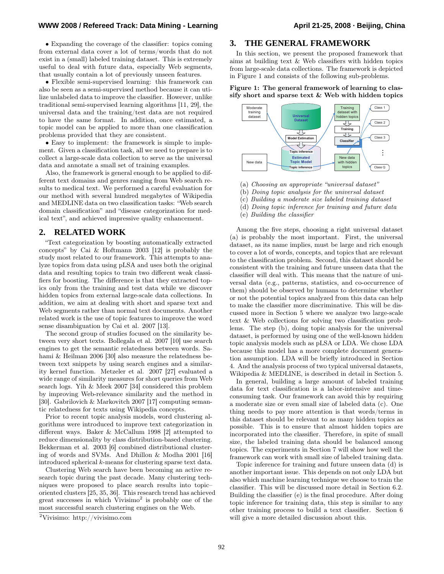• Expanding the coverage of the classifier: topics coming from external data cover a lot of terms/words that do not exist in a (small) labeled training dataset. This is extremely useful to deal with future data, especially Web segments, that usually contain a lot of previously unseen features.

• Flexible semi-supervised learning: this framework can also be seen as a semi-supervised method because it can utilize unlabeled data to improve the classifier. However, unlike traditional semi-supervised learning algorithms [11, 29], the universal data and the training/test data are not required to have the same format. In addition, once estimated, a topic model can be applied to more than one classification problems provided that they are consistent.

• Easy to implement: the framework is simple to implement. Given a classification task, all we need to prepare is to collect a large-scale data collection to serve as the universal data and annotate a small set of training examples.

Also, the framework is general enough to be applied to different text domains and genres ranging from Web search results to medical text. We performed a careful evaluation for our method with several hundred megabytes of Wikipedia and MEDLINE data on two classification tasks: "Web search domain classification" and "disease categorization for medical text", and achieved impressive quality enhancement.

# **2. RELATED WORK**

"Text categorization by boosting automatically extracted concepts" by Cai & Hoftmann 2003 [12] is probably the study most related to our framework. This attempts to analyze topics from data using pLSA and uses both the original data and resulting topics to train two different weak classifiers for boosting. The difference is that they extracted topics only from the training and test data while we discover hidden topics from external large-scale data collections. In addition, we aim at dealing with short and sparse text and Web segments rather than normal text documents. Another related work is the use of topic features to improve the word sense disambiguation by Cai et al. 2007 [13].

The second group of studies focused on the similarity between very short texts. Bollegala et al. 2007 [10] use search engines to get the semantic relatedness between words. Sahami & Heilman 2006 [30] also measure the relatedness between text snippets by using search engines and a similarity kernel function. Metzeler et al. 2007 [27] evaluated a wide range of similarity measures for short queries from Web search logs. Yih & Meek 2007 [34] considered this problem by improving Web-relevance similarity and the method in [30]. Gabrilovich & Markovitch 2007 [17] computing semantic relatedness for texts using Wikipedia concepts.

Prior to recent topic analysis models, word clustering algorithms were introduced to improve text categorization in different ways. Baker & McCallum 1998 [2] attempted to reduce dimensionality by class distribution-based clustering. Bekkerman et al. 2003 [6] combined distributional clustering of words and SVMs. And Dhillon & Modha 2001 [16] introduced spherical k-means for clustering sparse text data.

Clustering Web search have been becoming an active research topic during the past decade. Many clustering techniques were proposed to place search results into topic– oriented clusters [25, 35, 36]. This research trend has achieved great successes in which  $\overline{\text{Vivisimo}}^2$  is probably one of the most successful search clustering engines on the Web.

### **3. THE GENERAL FRAMEWORK**

In this section, we present the proposed framework that aims at building text & Web classifiers with hidden topics from large-scale data collections. The framework is depicted in Figure 1 and consists of the following sub-problems.

Figure 1: The general framework of learning to classify short and sparse text & Web with hidden topics



- (a) *Choosing an appropriate "universal dataset"*
- (b) *Doing topic analysis for the universal dataset*
- (c) *Building a moderate size labeled training dataset*
- (d) *Doing topic inference for training and future data*
- (e) *Building the classifier*

Among the five steps, choosing a right universal dataset (a) is probably the most important. First, the universal dataset, as its name implies, must be large and rich enough to cover a lot of words, concepts, and topics that are relevant to the classification problem. Second, this dataset should be consistent with the training and future unseen data that the classifier will deal with. This means that the nature of universal data (e.g., patterns, statistics, and co-occurrence of them) should be observed by humans to determine whether or not the potential topics analyzed from this data can help to make the classifier more discriminative. This will be discussed more in Section 5 where we analyze two large-scale text & Web collections for solving two classification problems. The step (b), doing topic analysis for the universal dataset, is performed by using one of the well-known hidden topic analysis models such as pLSA or LDA. We chose LDA because this model has a more complete document generation assumption. LDA will be briefly introduced in Section 4. And the analysis process of two typical universal datasets, Wikipedia & MEDLINE, is described in detail in Section 5.

In general, building a large amount of labeled training data for text classification is a labor-intensive and timeconsuming task. Our framework can avoid this by requiring a moderate size or even small size of labeled data (c). One thing needs to pay more attention is that words/terms in this dataset should be relevant to as many hidden topics as possible. This is to ensure that almost hidden topics are incorporated into the classifier. Therefore, in spite of small size, the labeled training data should be balanced among topics. The experiments in Section 7 will show how well the framework can work with small size of labeled training data.

Topic inference for training and future unseen data (d) is another important issue. This depends on not only LDA but also which machine learning technique we choose to train the classifier. This will be discussed more detail in Section 6.2. Building the classifier (e) is the final procedure. After doing topic inference for training data, this step is similar to any other training process to build a text classifier. Section 6 will give a more detailed discussion about this.

<sup>2</sup>Vivisimo: http://vivisimo.com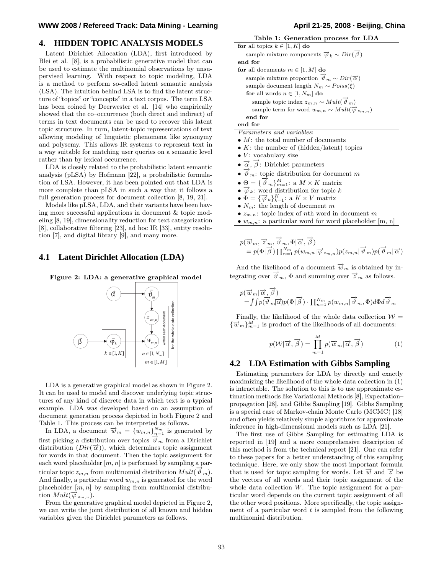# **4. HIDDEN TOPIC ANALYSIS MODELS**

Latent Dirichlet Allocation (LDA), first introduced by Blei et al. [8], is a probabilistic generative model that can be used to estimate the multinomial observations by unsupervised learning. With respect to topic modeling, LDA is a method to perform so-called latent semantic analysis (LSA). The intuition behind LSA is to find the latent structure of "topics" or "concepts" in a text corpus. The term LSA has been coined by Deerwester et al. [14] who empirically showed that the co–occurrence (both direct and indirect) of terms in text documents can be used to recover this latent topic structure. In turn, latent-topic representations of text allowing modeling of linguistic phenomena like synonymy and polysemy. This allows IR systems to represent text in a way suitable for matching user queries on a semantic level rather than by lexical occurrence.

LDA is closely related to the probabilistic latent semantic analysis (pLSA) by Hofmann [22], a probabilistic formulation of LSA. However, it has been pointed out that LDA is more complete than pLSA in such a way that it follows a full generation process for document collection [8, 19, 21].

Models like pLSA, LDA, and their variants have been having more successful applications in document & topic modeling [8, 19], dimensionality reduction for text categorization [8], collaborative filtering [23], ad hoc IR [33], entity resolution [7], and digital library [9], and many more.

# **4.1 Latent Dirichlet Allocation (LDA)**





LDA is a generative graphical model as shown in Figure 2. It can be used to model and discover underlying topic structures of any kind of discrete data in which text is a typical example. LDA was developed based on an assumption of document generation process depicted in both Figure 2 and Table 1. This process can be interpreted as follows.

In LDA, a document  $\vec{w}_m = \{w_{m,n}\}_{n=1}^{N_m}$  is generated by first picking a distribution over topics  $\overrightarrow{\theta}_m$  from a Dirichlet distribution  $(Dir(\vec{\alpha}))$ , which determines topic assignment for words in that document. Then the topic assignment for each word placeholder  $[m, n]$  is performed by sampling a particular topic  $z_{m,n}$  from multinomial distribution  $Mult(\vec{\theta}^m)$ . And finally, a particular word w*m,n* is generated for the word placeholder  $[m, n]$  by sampling from multinomial distribution  $Mult(\overrightarrow{\varphi}_{z_{m,n}})$ .

From the generative graphical model depicted in Figure 2, we can write the joint distribution of all known and hidden variables given the Dirichlet parameters as follows.

Table 1: Generation process for LDA

for all topics  $k \in [1, K]$  do sample mixture components  $\vec{\varphi}_k \sim Dir(\vec{\beta})$ end for for all documents  $m \in [1, M]$  do sample mixture proportion  $\overrightarrow{\vartheta}_m \sim Dir(\overrightarrow{\alpha})$ sample document length  $N_m \sim Poiss(\xi)$ for all words  $n \in [1, N_m]$  do sample topic index  $z_{m,n} \sim Mult(\vec{\theta}_{m})$ sample term for word  $w_{m,n} \sim Mult(\overrightarrow{\varphi}_{z_{m,n}})$ end for end for *Parameters and variables*:  $\bullet$  *M*: the total number of documents

- $K$ : the number of (hidden/latent) topics
- $\bullet$  V: vocabulary size
- $\vec{\alpha}, \vec{\beta}$ : Dirichlet parameters
- $\vec{\theta}_m$ : topic distribution for document m
- $\Theta = {\overrightarrow{\theta}}_m^M {M \over {m=1}}$ : a  $M \times K$  matrix
- $\overrightarrow{\varphi}_k$ : word distribution for topic k
- $\bullet$   $\overrightarrow{\Phi}$  =  $\{\overrightarrow{\varphi}_k\}_{k=1}^K$ : a  $K \times V$  matrix
- $N_m$ : the length of document m
- $z_{m,n}$ : topic index of *n*th word in document m
- $w_{m,n}$ : a particular word for word placeholder  $[m, n]$

$$
\begin{array}{l} p(\overrightarrow{w}_m,\overrightarrow{z}_m,\overrightarrow{\vartheta}_m,\Phi|\overrightarrow{\alpha},\overrightarrow{\beta}) \\ = p(\Phi|\overrightarrow{\beta}) \prod_{n=1}^{N_m} p(w_{m,n}|\overrightarrow{\varphi}_{z_{m,n}}) p(z_{m,n}|\overrightarrow{\vartheta}_m) p(\overrightarrow{\vartheta}_m|\overrightarrow{\alpha}) \end{array}
$$

And the likelihood of a document  $\vec{w}_m$  is obtained by integrating over  $\overline{\vartheta}_m$ ,  $\Phi$  and summing over  $\overrightarrow{z}_m$  as follows.

$$
p(\overrightarrow{w}_{m}|\overrightarrow{\alpha},\overrightarrow{\beta})
$$
  
=
$$
\int p(\overrightarrow{\vartheta}_{m}|\overrightarrow{\alpha})p(\Phi|\overrightarrow{\beta}) \cdot \prod_{n=1}^{N_{m}} p(w_{m,n}|\overrightarrow{\vartheta}_{m},\Phi) d\Phi d\overrightarrow{\vartheta}_{m}
$$

Finally, the likelihood of the whole data collection  $W =$  ${\overline{w}}_{m}\big\}^{M}_{m=1}$  is product of the likelihoods of all documents:

$$
p(\mathcal{W}|\vec{\alpha}, \vec{\beta}) = \prod_{m=1}^{M} p(\vec{w}_m|\vec{\alpha}, \vec{\beta})
$$
 (1)

# **4.2 LDA Estimation with Gibbs Sampling**

Estimating parameters for LDA by directly and exactly maximizing the likelihood of the whole data collection in (1) is intractable. The solution to this is to use approximate estimation methods like Variational Methods [8], Expectation– propagation [28], and Gibbs Sampling [19]. Gibbs Sampling is a special case of Markov-chain Monte Carlo (MCMC) [18] and often yields relatively simple algorithms for approximate inference in high-dimensional models such as LDA [21].

The first use of Gibbs Sampling for estimating LDA is reported in [19] and a more comprehensive description of this method is from the technical report [21]. One can refer to these papers for a better understanding of this sampling technique. Here, we only show the most important formula that is used for topic sampling for words. Let  $\vec{w}$  and  $\vec{z}$  be the vectors of all words and their topic assignment of the whole data collection  $W$ . The topic assignment for a particular word depends on the current topic assignment of all the other word positions. More specifically, the topic assignment of a particular word  $t$  is sampled from the following multinomial distribution.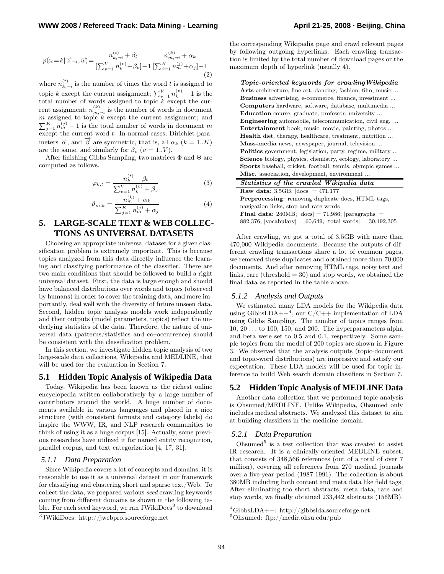$$
p(z_i = k | \overrightarrow{z}_{-i}, \overrightarrow{w}) = \frac{n_{k, -i}^{(t)} + \beta_t}{\left[\sum_{v=1}^{V} n_k^{(v)} + \beta_v\right] - 1} \frac{n_{m, -i}^{(k)} + \alpha_k}{\left[\sum_{j=1}^{K} n_m^{(j)} + \alpha_j\right] - 1}
$$
\n(2)

where  $n_{k,\neg i}^{(t)}$  is the number of times the word t is assigned to topic k except the current assignment;  $\sum_{v=1}^{V} n_k^{(v)} - 1$  is the total number of words assigned to topic  $k$  except the current assignment;  $n_{m,\neg i}^{(k)}$  is the number of words in document m assigned to topic k except the current assignment; and  $\sum_{j=1}^{K} n_m^{(j)} - 1$  is the total number of words in document m except the current word  $t$ . In normal cases, Dirichlet parameters  $\vec{\alpha}$ , and  $\vec{\beta}$  are symmetric, that is, all  $\alpha_k$  ( $k = 1..K$ ) are the same, and similarly for  $\beta_v$  ( $v = 1..V$ ).

After finishing Gibbs Sampling, two matrices Φ and Θ are computed as follows.

$$
\varphi_{k,t} = \frac{n_k^{(t)} + \beta_t}{\sum_{v=1}^V n_k^{(v)} + \beta_v} \tag{3}
$$

$$
\vartheta_{m,k} = \frac{n_m^{(k)} + \alpha_k}{\sum_{j=1}^K n_m^{(j)} + \alpha_j} \tag{4}
$$

# **5. LARGE-SCALE TEXT & WEB COLLEC-TIONS AS UNIVERSAL DATASETS**

Choosing an appropriate universal dataset for a given classification problem is extremely important. This is because topics analyzed from this data directly influence the learning and classifying performance of the classifier. There are two main conditions that should be followed to build a right universal dataset. First, the data is large enough and should have balanced distributions over words and topics (observed by humans) in order to cover the training data, and more importantly, deal well with the diversity of future unseen data. Second, hidden topic analysis models work independently and their outputs (model parameters, topics) reflect the underlying statistics of the data. Therefore, the nature of universal data (patterns/statistics and co–occurrence) should be consistent with the classification problem.

In this section, we investigate hidden topic analysis of two large-scale data collections, Wikipedia and MEDLINE, that will be used for the evaluation in Section 7.

## **5.1 Hidden Topic Analysis of Wikipedia Data**

Today, Wikipedia has been known as the richest online encyclopedia written collaboratively by a large number of contributors around the world. A huge number of documents available in various languages and placed in a nice structure (with consistent formats and category labels) do inspire the WWW, IR, and NLP research communities to think of using it as a huge corpus [15]. Actually, some previous researches have utilized it for named entity recognition, parallel corpus, and text categorization [4, 17, 31].

#### *5.1.1 Data Preparation*

Since Wikipedia covers a lot of concepts and domains, it is reasonable to use it as a universal dataset in our framework for classifying and clustering short and sparse text/Web. To collect the data, we prepared various *seed* crawling keywords coming from different domains as shown in the following table. For each seed keyword, we ran JWikiDocs<sup>3</sup> to download

the corresponding Wikipedia page and crawl relevant pages by following outgoing hyperlinks. Each crawling transaction is limited by the total number of download pages or the maximum depth of hyperlink (usually 4).

| Topic-oriented keywords for crawling Wikipedia                   |
|------------------------------------------------------------------|
| Arts architecture, fine art, dancing, fashion, film, music       |
| <b>Business</b> advertising, e-commerce, finance, investment     |
| Computers hardware, software, database, multimedia               |
| <b>Education</b> course, graduate, professor, university         |
| <b>Engineering</b> automobile, telecommunication, civil eng      |
| <b>Entertainment</b> book, music, movie, painting, photos        |
| <b>Health</b> diet, therapy, healthcare, treatment, nutrition    |
| <b>Mass-media</b> news, newspaper, journal, television           |
| <b>Politics</b> government, legislation, party, regime, military |
| <b>Science</b> biology, physics, chemistry, ecology, laboratory  |
| <b>Sports</b> baseball, cricket, football, tennis, olympic games |
| <b>Misc.</b> association, development, environment               |
| Statistics of the crawled Wikipedia data                         |
| <b>Raw data:</b> 3.5GB; $ docs  = 471,177$                       |
| <b>Preprocessing:</b> removing duplicate docs, HTML tags,        |
| navigation links, stop and rare words                            |
| <b>Final data:</b> 240MB; $ docs  = 71,986$ ; $ paragnbs  =$     |
| 882,376; $ vocabulary  = 60,649$ ; $ total words  = 30,492,305$  |

After crawling, we got a total of 3.5GB with more than 470,000 Wikipedia documents. Because the outputs of different crawling transactions share a lot of common pages, we removed these duplicates and obtained more than 70,000 documents. And after removing HTML tags, noisy text and links, rare (threshold  $=$  30) and stop words, we obtained the final data as reported in the table above.

#### *5.1.2 Analysis and Outputs*

We estimated many LDA models for the Wikipedia data using GibbsLDA++4, our C/C++ implementation of LDA using Gibbs Sampling. The number of topics ranges from 10, 20 ... to 100, 150, and 200. The hyperparameters alpha and beta were set to 0.5 and 0.1, respectively. Some sample topics from the model of 200 topics are shown in Figure 3. We observed that the analysis outputs (topic-document and topic-word distributions) are impressive and satisfy our expectation. These LDA models will be used for topic inference to build Web search domain classifiers in Section 7.

### **5.2 Hidden Topic Analysis of MEDLINE Data**

Another data collection that we performed topic analysis is Ohsumed/MEDLINE. Unlike Wikipedia, Ohsumed only includes medical abstracts. We analyzed this dataset to aim at building classifiers in the medicine domain.

# *5.2.1 Data Preparation*

Ohsumed<sup>5</sup> is a test collection that was created to assist IR research. It is a clinically-oriented MEDLINE subset, that consists of 348,566 references (out of a total of over 7 million), covering all references from 270 medical journals over a five-year period (1987-1991). The collection is about 380MB including both content and meta data like field tags. After eliminating too short abstracts, meta data, rare and stop words, we finally obtained 233,442 abstracts (156MB).

<sup>3</sup>JWikiDocs: http://jwebpro.sourceforge.net

 $^4{\rm GibbsLDA++:}$ http://gibbslda.sourceforge.net

<sup>5</sup>Ohsumed: ftp://medir.ohsu.edu/pub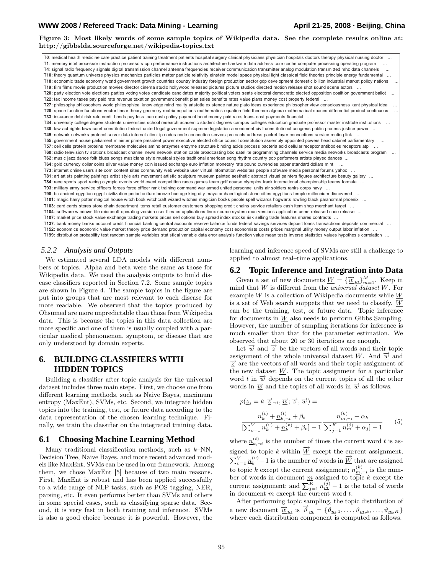#### **WWW 2008 / Refereed Track: Data Mining - Learning April 21-25, 2008 · Beijing, China**

Figure 3: Most likely words of some sample topics of Wikipedia data. See the complete results online at: http://gibbslda.sourceforge.net/wikipedia-topics.txt

| TO: medical health medicine care practice patient training treatment patients hospital surgery clinical physicians physician hospitals doctors therapy physical nursing doctor     |
|------------------------------------------------------------------------------------------------------------------------------------------------------------------------------------|
| T1: memory intel processor instruction processors cpu performance instructions architecture hardware data address core cache computer processing operating program<br>$\cdots$     |
| T4: signal radio frequency signals digital transmission channel antenna frequencies receiver communication transmitter analog modulation transmitted mhz data channels<br>$\cdots$ |
| T10: theory quantum universe physics mechanics particles matter particle relativity einstein model space physical light classical field theories principle energy fundamental      |
| T18: economic trade economy world government growth countries country industry foreign production sector gdp development domestic billion industrial market policy nations         |
| T19: film films movie production movies director cinema studio hollywood released pictures picture studios directed motion release shot sound scene actors                         |
| T20: party election vote elections parties voting votes candidate candidates majority political voters seats electoral democratic elected opposition coalition government ballot   |
| T22: tax income taxes pay paid rate revenue taxation government benefit plan sales benefits rates value plans money cost property federal                                          |
| T27: philosophy philosophers world philosophical knowledge mind reality aristotle existence nature plato ideas experience philosopher view consciousness kant physical idea        |
| T28: space function functions vector linear theory geometry matrix equations mathematics equation field theorem algebra mathematical spaces differential product continuous        |
| T33: insurance debt risk rate credit bonds pay loss loan cash policy payment bond money paid rates loans cost payments financial                                                   |
| T34: university college degree students universities school research academic student degrees campus colleges education graduate professor master institute institutions           |
| T38: law act rights laws court constitution federal united legal government supreme legislation amendment civil constitutional congress public process justice power               |
| T45: network networks protocol server data internet client ip nodes node connection servers protocols address packet layer connections service routing link                        |
| T55: government house parliament minister prime president power executive elected office council constitution assembly appointed powers head cabinet parliamentary<br>$\cdots$     |
| T57: cell cells protein proteins membrane molecules amino enzymes enzyme structure binding acids process bacteria acid cellular receptor antibodies receptors atp                  |
| T60: radio television ty stations broadcast channel news network station cable broadcasting bbc satellite programming channels service media networks broadcasts program           |
| T62: music jazz dance folk blues songs musicians style musical styles traditional american song rhythm country pop performers artists played dances                                |
| T64: gold currency dollar coins silver value money coin issued exchange euro inflation monetary rate pound currencies paper standard dollars mint                                  |
| T73: internet online users site com content sites community web website user virtual information websites people software media personal forums yahoo                              |
| T81: art artists painting paintings artist style arts movement artistic sculpture museum painted aesthetic abstract visual painters figures architecture beauty gallery            |
| T84: race sports sport racing olympic events world event competition races games team golf course olympics track international championship teams formula                          |
| T93: military army service officers forces force officer rank training command war armed united personnel units air soldiers ranks corps navy                                      |
| T98: bc ancient egyptian egypt civilization period culture bronze bce age king city maya archaeological stone cities egyptians temple millennium discovered                        |
| T101: magic harry potter magical house witch book witchcraft wizard witches magician books people spell wizards hogwarts rowling black paranormal phoenix                          |
| T103: card cards stores store chain department items retail customer customers shopping credit chains service retailers cash item shop merchant target                             |
| T104: software windows file microsoft operating version user files os applications linux source system mac versions application users released code release                        |
| T107: market price stock value exchange trading markets prices sell options buy spread index stocks risk selling trade features shares contracts                                   |
| T137: bank money banks account credit financial banking central accounts reserve balance funds federal savings services deposit loans transactions deposits commercial             |
| T152: economics economic value market theory price demand production capital economy cost economists costs prices marginal utility money output labor inflation                    |
| T199: distribution probability test random sample variables statistical variable data error analysis function value mean tests inverse statistics values hypothesis correlation    |

#### *5.2.2 Analysis and Outputs*

We estimated several LDA models with different numbers of topics. Alpha and beta were the same as those for Wikipedia data. We used the analysis outputs to build disease classifiers reported in Section 7.2. Some sample topics are shown in Figure 4. The sample topics in the figure are put into groups that are most relevant to each disease for more readable. We observed that the topics produced by Ohsumed are more unpredictable than those from Wikipedia data. This is because the topics in this data collection are more specific and one of them is usually coupled with a particular medical phenomenon, symptom, or disease that are only understood by domain experts.

# **6. BUILDING CLASSIFIERS WITH HIDDEN TOPICS**

Building a classifier after topic analysis for the universal dataset includes three main steps. First, we choose one from different learning methods, such as Naive Bayes, maximum entropy (MaxEnt), SVMs, etc. Second, we integrate hidden topics into the training, test, or future data according to the data representation of the chosen learning technique. Finally, we train the classifier on the integrated training data.

#### **6.1 Choosing Machine Learning Method**

Many traditional classification methods, such as  $k$ –NN, Decision Tree, Naive Bayes, and more recent advanced models like MaxEnt, SVMs can be used in our framework. Among them, we chose MaxEnt [5] because of two main reasons. First, MaxEnt is robust and has been applied successfully to a wide range of NLP tasks, such as POS tagging, NER, parsing, etc. It even performs better than SVMs and others in some special cases, such as classifying sparse data. Second, it is very fast in both training and inference. SVMs is also a good choice because it is powerful. However, the

learning and inference speed of SVMs are still a challenge to applied to almost real–time applications.

# **6.2 Topic Inference and Integration into Data**

Given a set of new documents  $\underline{W} = {\overline{\{\underline{w}}_m\}}_{m=1}^M$ . Keep in mind that  $\underline{W}$  is different from the *universal dataset*  $W$ . For example  $W$  is a collection of Wikipedia documents while  $W$ is a set of Web search snippets that we need to classify.  $W$ can be the training, test, or future data. Topic inference for documents in  $W$  also needs to perform Gibbs Sampling. However, the number of sampling iterations for inference is much smaller than that for the parameter estimation. We observed that about 20 or 30 iterations are enough.

Let  $\vec{w}$  and  $\vec{z}$  be the vectors of all words and their topic assignment of the whole universal dataset W. And  $\overrightarrow{w}$  and  $\overrightarrow{z}$  are the vectors of all words and their topic assignment of the new dataset  $W$ . The topic assignment for a particular word t in  $\overrightarrow{w}$  depends on the current topics of all the other words in  $\overrightarrow{w}$  and the topics of all words in  $\overrightarrow{w}$  as follows.

$$
p(\underline{z}_{i} = k | \overrightarrow{\underline{z}}_{-i}, \overrightarrow{\underline{w}}; \overrightarrow{z}, \overrightarrow{w}) =
$$
  

$$
\frac{n_{k}^{(t)} + n_{k,-i}^{(t)} + \beta_{t}}{\left[\sum_{v=1}^{V} n_{k}^{(v)} + n_{k}^{(v)} + \beta_{v}\right] - 1} \frac{n_{m,-i}^{(k)} + \alpha_{k}}{\left[\sum_{j=1}^{K} n_{m}^{(j)} + \alpha_{j}\right] - 1}
$$
 (5)

where  $\underline{n}_{k,\neg i}^{(t)}$  is the number of times the current word t is assigned to topic k within  $\overrightarrow{W}$  except the current assignment;  $\sum_{v=1}^{V} \frac{n(v)}{n_k^{(v)}} - 1$  is the number of words in  $\overrightarrow{W}$  that are assigned to topic k except the current assignment;  $n_{\underline{m},\neg i}^{(k)}$  is the number of words in document  $\underline{m}$  assigned to topic k except the current assignment; and  $\sum_{j=1}^{K} n_{\underline{m}}^{(j)} - 1$  is the total of words in document  $\underline{m}$  except the current word t.

After performing topic sampling, the topic distribution of a new document  $\overline{\vec{w}}_m$  is  $\overrightarrow{\theta}_m = {\theta_{m,1}, \ldots, \theta_{m,k}, \ldots, \theta_{m,K}}$ where each distribution component is computed as follows.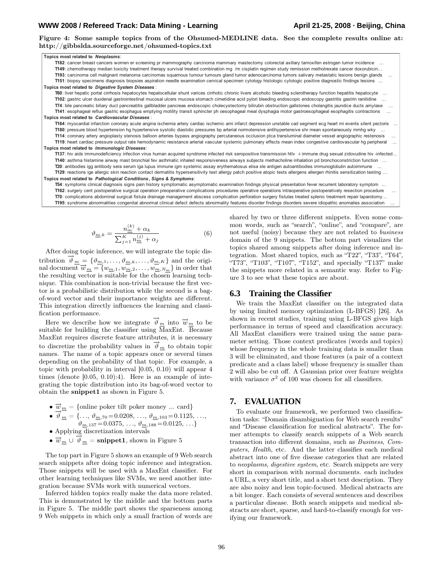Figure 4: Some sample topics from of the Ohsumed-MEDLINE data. See the complete results online at: http://gibbslda.sourceforge.net/ohsumed-topics.txt

| Topics most related to Neoplasms:                                                                                                                                         |          |
|---------------------------------------------------------------------------------------------------------------------------------------------------------------------------|----------|
| T182: cancer breast cancers women er screening pr mammography carcinoma mammary mastectomy colorectal axillary tamoxifen estrogen tumor incidence                         |          |
| T149: chemotherapy median toxicity treatment therapy survival treated combination mg /m cisplatin regimen study remission methotrexate cancer doxorubicin                 |          |
| T193: carcinoma cell malignant melanoma carcinomas squamous tumour tumours gland tumor adenocarcinoma tumors salivary metastatic lesions benign glands                    |          |
| T151: biopsy specimens diagnosis biopsies aspiration needle examination cervical specimen cytology histologic cytologic positive diagnostic findings lesions              |          |
| Topics most related to Digestive System Diseases :                                                                                                                        |          |
| T60: liver hepatic portal cirrhosis hepatocytes hepatocellular shunt varices cirrhotic chronic livers alcoholic bleeding sclerotherapy function hepatitis hepatocyte      |          |
| T102: gastric ulcer duodenal gastrointestinal mucosal ulcers mucosa stomach cimetidine acid pylori bleeding endoscopic endoscopy gastritis gastrin ranitidine             |          |
| T74: bile pancreatic biliary duct pancreatitis gallbladder pancreas endoscopic cholecystectomy bilirubin obstruction gallstones cholangitis jaundice ducts amylase        | $\cdots$ |
| T141: esophageal reflux gastric esophagus emptying motility transit sphincter ph oesophageal meal dysphagia motor gastroesophageal esophagitis contractions               |          |
| Topics most related to Cardiovascular Diseases :                                                                                                                          |          |
| T164: myocardial infarction coronary acute angina ischemia artery cardiac ischemic ami infarct depression unstable cad segment ecg heart mi events silent pectoris        |          |
| T180: pressure blood hypertension hg hypertensive systolic diastolic pressures bp arterial normotensive antihypertensive shr mean spontaneously mmhg wky                  |          |
| T114: coronary artery angioplasty stenosis balloon arteries bypass angiography percutaneous occlusion ptca transluminal diameter vessel angiographic restenosis           |          |
| T119: heart cardiac pressure output rate hemodynamic resistance arterial vascular systemic pulmonary effects mean index congestive cardiovascular hg peripheral           |          |
| Topics most related to Immunologic Diseases:                                                                                                                              |          |
| T137: hiv aids immunodeficiency infection virus human acquired syndrome infected risk seropositive transmission htlv -i immune drug sexual zidovudine hiv -infected       |          |
| T140: asthma histamine airway mast bronchial fev asthmatic inhaled responsiveness airways subjects methacholine inhalation pd bronchoconstriction function                |          |
| T20: antibodies igg antibody sera serum iga lupus immune igm systemic assay erythematosus elisa sle antigen autoantibodies immunoglobulin autoimmune                      |          |
| T129: reactions ige allergic skin reaction contact dermatitis hypersensitivity test allergy patch positive atopic tests allergens allergen rhinitis sensitization testing |          |
| Topics most related to Pathological Conditions, Signs & Symptoms:                                                                                                         |          |
| T54: symptoms clinical diagnosis signs pain history symptomatic asymptomatic examination findings physical presentation fever recurrent laboratory symptom                |          |
| T162: surgery cent postoperative surgical operation preoperative complications procedures operative operations intraoperative postoperatively resection procedure         |          |
| T70: complications abdominal surgical fistula drainage management abscess complication perforation surgery fistulas treated splenic treatment repair laparotomy           |          |

 **T195**: syndrome abnormalities congenital abnormal clinical defect defects abnormality features disorder findings disorders severe idiopathic anomalies association ...

$$
\vartheta_{\underline{m},k} = \frac{n_{\underline{m}}^{(k)} + \alpha_k}{\sum_{j=1}^{K} n_{\underline{m}}^{(j)} + \alpha_j} \tag{6}
$$

After doing topic inference, we will integrate the topic distribution  $\vec{\theta}_m = {\theta_{m,1}, \ldots, \theta_{m,k}, \ldots, \theta_{m,K}}$  and the original document  $\vec{w}_m = \{w_{m,1}, w_{m,2}, \ldots, w_{m,N_m}\}\$  in order that the resulting vector is suitable for the chosen learning technique. This combination is non-trivial because the first vector is a probabilistic distribution while the second is a bagof-word vector and their importance weights are different. This integration directly influences the learning and classification performance.

Here we describe how we integrate  $\vartheta_{m}$  into  $\vec{w}_{m}$  to be suitable for building the classifier using MaxEnt. Because MaxEnt requires discrete feature attributes, it is necessary to discretize the probability values in  $\vec{\theta}_m$  to obtain topic names. The name of a topic appears once or several times depending on the probability of that topic. For example, a topic with probability in interval [0.05, 0.10) will appear 4 times (denote  $[0.05, 0.10):4$ ). Here is an example of integrating the topic distribution into its bag-of-word vector to obtain the snippet1 as shown in Figure 5.

- $\vec{w}_{\underline{m}} =$  {online poker tilt poker money ... card}
- $\bullet \overrightarrow{\theta}_{m} = \{ \dots, \vartheta_{m,70} = 0.0208, \dots, \vartheta_{m,103} = 0.1125, \dots, \}$  $\hat{\vartheta}_{m,137} = 0.0375, \ldots, \hat{\vartheta}_{m,188} = 0.0125, \ldots$
- Applying discretization intervals
- $\vec{w}_m \cup \vec{v}_m = \text{snippet1},$  shown in Figure 5

The top part in Figure 5 shows an example of 9 Web search search snippets after doing topic inference and integration. Those snippets will be used with a MaxEnt classifier. For other learning techniques like SVMs, we need another integration because SVMs work with numerical vectors.

Inferred hidden topics really make the data more related. This is demonstrated by the middle and the bottom parts in Figure 5. The middle part shows the sparseness among 9 Web snippets in which only a small fraction of words are

shared by two or three different snippets. Even some common words, such as "search", "online", and "compare", are not useful (noisy) because they are not related to *business* domain of the 9 snippets. The bottom part visualizes the topics shared among snippets after doing inference and integration. Most shared topics, such as "T22", "T33", "T64", "T73", "T103", "T107", "T152", and specially "T137" make the snippets more related in a semantic way. Refer to Figure 3 to see what these topics are about.

### **6.3 Training the Classifier**

We train the MaxEnt classifier on the integrated data by using limited memory optimization (L-BFGS) [26]. As shown in recent studies, training using L-BFGS gives high performance in terms of speed and classification accuracy. All MaxEnt classifiers were trained using the same parameter setting. Those context predicates (words and topics) whose frequency in the whole training data is smaller than 3 will be eliminated, and those features (a pair of a context predicate and a class label) whose frequency is smaller than 2 will also be cut off. A Gaussian prior over feature weights with variance  $\sigma^2$  of 100 was chosen for all classifiers.

### **7. EVALUATION**

To evaluate our framework, we performed two classification tasks: "Domain disambiguation for Web search results" and "Disease classification for medical abstracts". The former attempts to classify search snippets of a Web search transaction into different domains, such as *Business*, *Computers*, *Health*, etc. And the latter classifies each medical abstract into one of five disease categories that are related to *neoplasms*, *digestive system*, etc. Search snippets are very short in comparison with normal documents. each includes a URL, a very short title, and a short text description. They are also noisy and less topic-focused. Medical abstracts are a bit longer. Each consists of several sentences and describes a particular disease. Both search snippets and medical abstracts are short, sparse, and hard-to-classify enough for verifying our framework.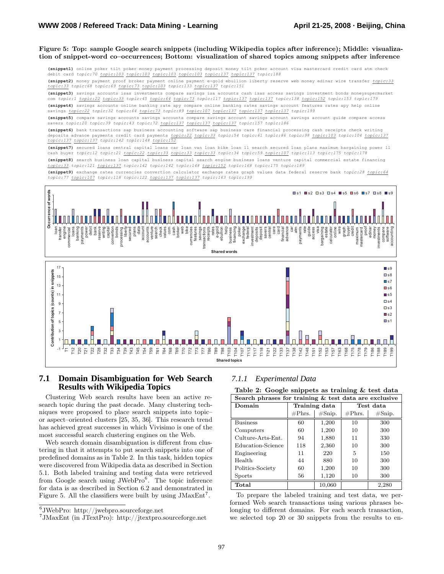Figure 5: Top: sample Google search snippets (including Wikipedia topics after inference); Middle: visualization of snippet-word co–occurrences; Bottom: visualization of shared topics among snippets after inference

**(snippet1)** online poker tilt poker money payment processing deposit money tilt poker account visa mastercard credit card atm check debit card *topic:70 topic:103 topic:103 topic:103 topic:103 topic:137 topic:137 topic:188*

(snippet2) money payment proof broker payment online payment e-gold ebullion liberty reserve web money edinar wire transfer topic:33<br>topic:33 topic:68 topic:69 topic:73 topic:103 topic:133 topic:137 topic:151

**(snippet3)** savings accounts isas investments compare savings isa accounts cash isas access savings investment bonds moneysupermarket com *topic:1 topic:22 topic:33 topic:45 topic:64 topic:73 topic:117 topic:137 topic:137 topic:138 topic:152 topic:153 topic:179* (snippet4) savings accounts online banking rate apy compare online banking rates savings account features rates apy help online<br>savings topic:22 topic:32 topic:64 topic:73 topic:89 topic:107 topic:137 topic:137 topic:137 t

**(snippet5)** compare savings accounts savings accounts compare savings account savings account savings account guide compare access savers *topic:20 topic:39 topic:43 topic:72 topic:137 topic:137 topic:137 topic:157 topic:186*

**(snippet6)** bank transactions sap business accounting software sap business care financial processing cash receipts check writing deposits advance payments credit card payments *topic:22 topic:33 topic:54 topic:61 topic:86 topic:98 topic:103 topic:104 topic:137 topic:137 topic:137 topic:142 topic:148 topic:152*

**(snippet7)** secured loans central capital loans car loan van loan bike loan ll search secured loan plans maximum bargaining power ll cash buyer *topic:12 topic:21 topic:22 topic:33 topic:33 topic:33 topic:34 topic:59 topic:107 topic:113 topic:175 topic:178*

**(snippet8)** search business loan capital business capital search engine business loans venture capital commercial estate financing *topic:33 topic:121 topic:137 topic:142 topic:142 topic:148 topic:152 topic:168 topic:175 topic:189*

**(snippet9)** exchange rates currencies convertion calculator exchange rates graph values data federal reserve bank *topic:28 topic:64 topic:77 topic:107 topic:118 topic:122 topic:137 topic:137 topic:163 topic:199*



# **7.1 Domain Disambiguation for Web Search Results with Wikipedia Topics**

Clustering Web search results have been an active research topic during the past decade. Many clustering techniques were proposed to place search snippets into topic– or aspect–oriented clusters [25, 35, 36]. This research trend has achieved great successes in which Vivisimo is one of the most successful search clustering engines on the Web.

Web search domain disambiguation is different from clustering in that it attempts to put search snippets into one of predefined domains as in Table 2. In this task, hidden topics were discovered from Wikipedia data as described in Section 5.1. Both labeled training and testing data were retrieved from Google search using JWebPro<sup>6</sup>. The topic inference for data is as described in Section 6.2 and demonstrated in Figure 5. All the classifiers were built by using  $JMaxEnt^7$ .

# *7.1.1 Experimental Data*

Table 2: Google snippets as training & test data

| Search phrases for training $\&$ test data are exclusive |                  |                  |           |                  |  |
|----------------------------------------------------------|------------------|------------------|-----------|------------------|--|
| Domain                                                   | Training data    |                  | Test data |                  |  |
|                                                          | $\#\text{Phrs.}$ | $\#\text{Snip.}$ | $\#Phrs.$ | $\#\text{Snip.}$ |  |
| <b>Business</b>                                          | 60               | 1,200            | 10        | 300              |  |
| Computers                                                | 60               | 1,200            | 10        | 300              |  |
| Culture-Arts-Ent.                                        | 94               | 1,880            | 11        | 330              |  |
| Education-Science                                        | 118              | 2,360            | 10        | 300              |  |
| Engineering                                              | 11               | 220              | 5         | 150              |  |
| Health                                                   | 44               | 880              | 10        | 300              |  |
| Politics-Society                                         | 60               | 1,200            | 10        | 300              |  |
| <b>Sports</b>                                            | 56               | 1,120            | 10        | 300              |  |
| Total                                                    |                  | 10,060           |           | 2,280            |  |

To prepare the labeled training and test data, we performed Web search transactions using various phrases belonging to different domains. For each search transaction, we selected top 20 or 30 snippets from the results to en-

 $^6\rm JWebPro:$ http://jwebpro.sourceforge.net

 ${\rm ^7JMaxEnt}$  (in JTextPro): http://jtextpro.sourceforge.net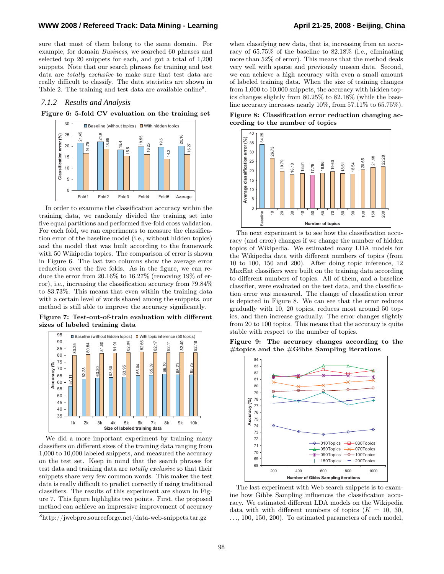sure that most of them belong to the same domain. For example, for domain *Business*, we searched 60 phrases and selected top 20 snippets for each, and got a total of 1,200 snippets. Note that our search phrases for training and test data are *totally exclusive* to make sure that test data are really difficult to classify. The data statistics are shown in Table 2. The training and test data are available online<sup>8</sup>.

#### *7.1.2 Results and Analysis*





In order to examine the classification accuracy within the training data, we randomly divided the training set into five equal partitions and performed five-fold cross validation. For each fold, we ran experiments to measure the classification error of the baseline model (i.e., without hidden topics) and the model that was built according to the framework with 50 Wikipedia topics. The comparison of error is shown in Figure 6. The last two columns show the average error reduction over the five folds. As in the figure, we can reduce the error from 20.16% to 16.27% (removing 19% of error), i.e., increasing the classification accuracy from 79.84% to 83.73%. This means that even within the training data with a certain level of words shared among the snippets, our method is still able to improve the accuracy significantly.

Figure 7: Test-out-of-train evaluation with different sizes of labeled training data



We did a more important experiment by training many classifiers on different sizes of the training data ranging from 1,000 to 10,000 labeled snippets, and measured the accuracy on the test set. Keep in mind that the search phrases for test data and training data are *totally exclusive* so that their snippets share very few common words. This makes the test data is really difficult to predict correctly if using traditional classifiers. The results of this experiment are shown in Figure 7. This figure highlights two points. First, the proposed method can achieve an impressive improvement of accuracy

when classifying new data, that is, increasing from an accuracy of 65.75% of the baseline to 82.18% (i.e., eliminating more than 52% of error). This means that the method deals very well with sparse and previously unseen data. Second, we can achieve a high accuracy with even a small amount of labeled training data. When the size of training changes from 1,000 to 10,000 snippets, the accuracy with hidden topics changes slightly from 80.25% to 82.18% (while the baseline accuracy increases nearly 10%, from 57.11% to 65.75%).

Figure 8: Classification error reduction changing according to the number of topics



The next experiment is to see how the classification accuracy (and error) changes if we change the number of hidden topics of Wikipedia. We estimated many LDA models for the Wikipedia data with different numbers of topics (from 10 to 100, 150 and 200). After doing topic inference, 12 MaxEnt classifiers were built on the training data according to different numbers of topics. All of them, and a baseline classifier, were evaluated on the test data, and the classification error was measured. The change of classification error is depicted in Figure 8. We can see that the error reduces gradually with 10, 20 topics, reduces most around 50 topics, and then increase gradually. The error changes slightly from 20 to 100 topics. This means that the accuracy is quite stable with respect to the number of topics.

Figure 9: The accuracy changes according to the  $#$ topics and the  $#$ Gibbs Sampling iterations



The last experiment with Web search snippets is to examine how Gibbs Sampling influences the classification accuracy. We estimated different LDA models on the Wikipedia data with with different numbers of topics  $(K = 10, 30, ...)$ ..., 100, 150, 200). To estimated parameters of each model,

<sup>8</sup>http://jwebpro.sourceforge.net/data-web-snippets.tar.gz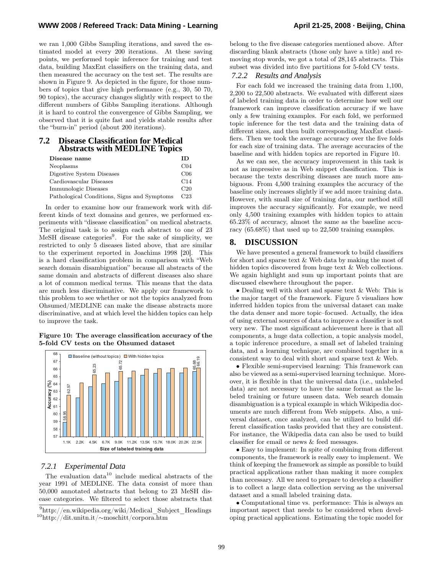#### **WWW 2008 / Refereed Track: Data Mining - Learning April 21-25, 2008 · Beijing, China**

we ran 1,000 Gibbs Sampling iterations, and saved the estimated model at every 200 iterations. At these saving points, we performed topic inference for training and test data, building MaxEnt classifiers on the training data, and then measured the accuracy on the test set. The results are shown in Figure 9. As depicted in the figure, for those numbers of topics that give high performance (e.g., 30, 50 70, 90 topics), the accuracy changes slightly with respect to the different numbers of Gibbs Sampling iterations. Although it is hard to control the convergence of Gibbs Sampling, we observed that it is quite fast and yields stable results after the "burn-in" period (about 200 iterations).

#### **7.2 Disease Classification for Medical Abstracts with MEDLINE Topics**

| Disease name                                | ΙD              |
|---------------------------------------------|-----------------|
| Neoplasms                                   | C <sub>04</sub> |
| Digestive System Diseases                   | C06             |
| Cardiovascular Diseases                     | C14             |
| Immunologic Diseases                        | C20             |
| Pathological Conditions, Signs and Symptoms | C <sub>23</sub> |

In order to examine how our framework work with different kinds of text domains and genres, we performed experiments with "disease classification" on medical abstracts. The original task is to assign each abstract to one of 23 MeSH disease categories<sup>9</sup>. For the sake of simplicity, we restricted to only 5 diseases listed above, that are similar to the experiment reported in Joachims 1998 [20]. This is a hard classification problem in comparison with "Web search domain disambiguation" because all abstracts of the same domain and abstracts of different diseases also share a lot of common medical terms. This means that the data are much less discriminative. We apply our framework to this problem to see whether or not the topics analyzed from Ohsumed/MEDLINE can make the disease abstracts more discriminative, and at which level the hidden topics can help to improve the task.





## *7.2.1 Experimental Data*

The evaluation  $data^{10}$  include medical abstracts of the year 1991 of MEDLINE. The data consist of more than 50,000 annotated abstracts that belong to 23 MeSH disease categories. We filtered to select those abstracts that

 $^9$ http://en.wikipedia.org/wiki/Medical\_Subject\_Headings <sup>10</sup>http://dit.unitn.it/∼moschitt/corpora.htm

belong to the five disease categories mentioned above. After discarding blank abstracts (those only have a title) and removing stop words, we got a total of 28,145 abstracts. This subset was divided into five partitions for 5-fold CV tests.

# *7.2.2 Results and Analysis*

For each fold we increased the training data from 1,100, 2,200 to 22,500 abstracts. We evaluated with different sizes of labeled training data in order to determine how well our framework can improve classification accuracy if we have only a few training examples. For each fold, we performed topic inference for the test data and the training data of different sizes, and then built corresponding MaxEnt classifiers. Then we took the average accuracy over the five folds for each size of training data. The average accuracies of the baseline and with hidden topics are reported in Figure 10.

As we can see, the accuracy improvement in this task is not as impressive as in Web snippet classification. This is because the texts describing diseases are much more ambiguous. From 4,500 training examples the accuracy of the baseline only increases slightly if we add more training data. However, with small size of training data, our method still improves the accuracy significantly. For example, we need only 4,500 training examples with hidden topics to attain 65.23% of accuracy, almost the same as the baseline accuracy (65.68%) that used up to 22,500 training examples.

### **8. DISCUSSION**

We have presented a general framework to build classifiers for short and sparse text & Web data by making the most of hidden topics discovered from huge text & Web collections. We again highlight and sum up important points that are discussed elsewhere throughout the paper.

• Dealing well with short and sparse text & Web: This is the major target of the framework. Figure 5 visualizes how inferred hidden topics from the universal dataset can make the data denser and more topic–focused. Actually, the idea of using external sources of data to improve a classifier is not very new. The most significant achievement here is that all components, a huge data collection, a topic analysis model, a topic inference procedure, a small set of labeled training data, and a learning technique, are combined together in a consistent way to deal with short and sparse text & Web.

• Flexible semi-supervised learning: This framework can also be viewed as a semi-supervised learning technique. Moreover, it is flexible in that the universal data (i.e., unlabeled data) are not necessary to have the same format as the labeled training or future unseen data. Web search domain disambiguation is a typical example in which Wikipedia documents are much different from Web snippets. Also, a universal dataset, once analyzed, can be utilized to build different classification tasks provided that they are consistent. For instance, the Wikipedia data can also be used to build classifier for email or news & feed messages.

• Easy to implement: In spite of combining from different components, the framework is really easy to implement. We think of keeping the framework as simple as possible to build practical applications rather than making it more complex than necessary. All we need to prepare to develop a classifier is to collect a large data collection serving as the universal dataset and a small labeled training data.

• Computational time vs. performance: This is always an important aspect that needs to be considered when developing practical applications. Estimating the topic model for